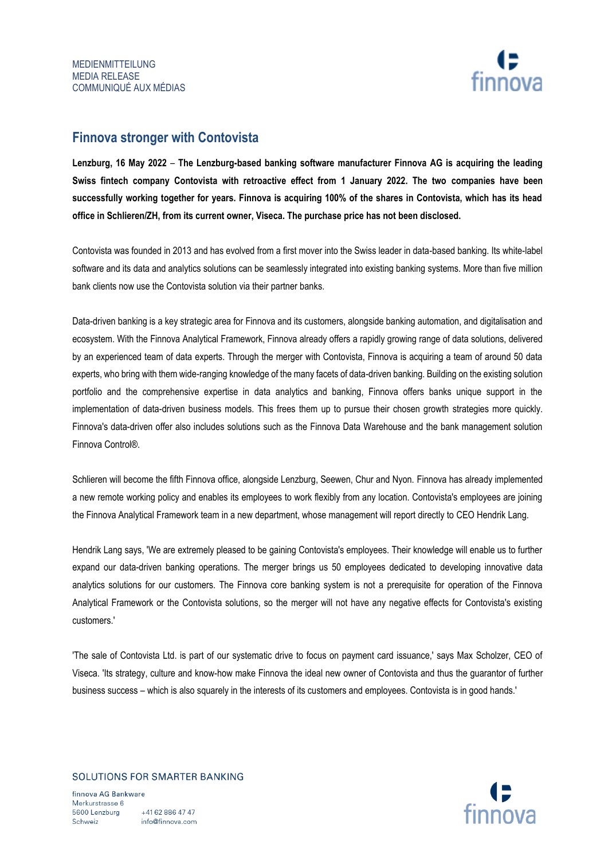

# **Finnova stronger with Contovista**

**Lenzburg, 16 May 2022** – **The Lenzburg-based banking software manufacturer Finnova AG is acquiring the leading Swiss fintech company Contovista with retroactive effect from 1 January 2022. The two companies have been successfully working together for years. Finnova is acquiring 100% of the shares in Contovista, which has its head office in Schlieren/ZH, from its current owner, Viseca. The purchase price has not been disclosed.**

Contovista was founded in 2013 and has evolved from a first mover into the Swiss leader in data-based banking. Its white-label software and its data and analytics solutions can be seamlessly integrated into existing banking systems. More than five million bank clients now use the Contovista solution via their partner banks.

Data-driven banking is a key strategic area for Finnova and its customers, alongside banking automation, and digitalisation and ecosystem. With the Finnova Analytical Framework, Finnova already offers a rapidly growing range of data solutions, delivered by an experienced team of data experts. Through the merger with Contovista, Finnova is acquiring a team of around 50 data experts, who bring with them wide-ranging knowledge of the many facets of data-driven banking. Building on the existing solution portfolio and the comprehensive expertise in data analytics and banking, Finnova offers banks unique support in the implementation of data-driven business models. This frees them up to pursue their chosen growth strategies more quickly. Finnova's data-driven offer also includes solutions such as the Finnova Data Warehouse and the bank management solution Finnova Control®.

Schlieren will become the fifth Finnova office, alongside Lenzburg, Seewen, Chur and Nyon. Finnova has already implemented a new remote working policy and enables its employees to work flexibly from any location. Contovista's employees are joining the Finnova Analytical Framework team in a new department, whose management will report directly to CEO Hendrik Lang.

Hendrik Lang says, 'We are extremely pleased to be gaining Contovista's employees. Their knowledge will enable us to further expand our data-driven banking operations. The merger brings us 50 employees dedicated to developing innovative data analytics solutions for our customers. The Finnova core banking system is not a prerequisite for operation of the Finnova Analytical Framework or the Contovista solutions, so the merger will not have any negative effects for Contovista's existing customers.'

'The sale of Contovista Ltd. is part of our systematic drive to focus on payment card issuance,' says Max Scholzer, CEO of Viseca. 'Its strategy, culture and know-how make Finnova the ideal new owner of Contovista and thus the guarantor of further business success – which is also squarely in the interests of its customers and employees. Contovista is in good hands.'

## SOLUTIONS FOR SMARTER BANKING

finnova AG Bankware Merkurstrasse 6 5600 Lenzburg +41 62 886 47 47 info@finnova.com Schweiz